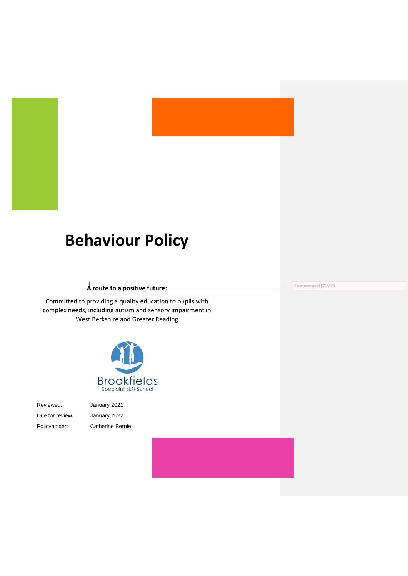# **Behaviour Policy**

## **A route to a positive future:**

Committed to providing a quality education to pupils with complex needs, including autism and sensory impairment in West Berkshire and Greater Reading



Reviewed: January 2021 Due for review: January 2022 Policyholder: Catherine Bernie

**Commented [CW1]:**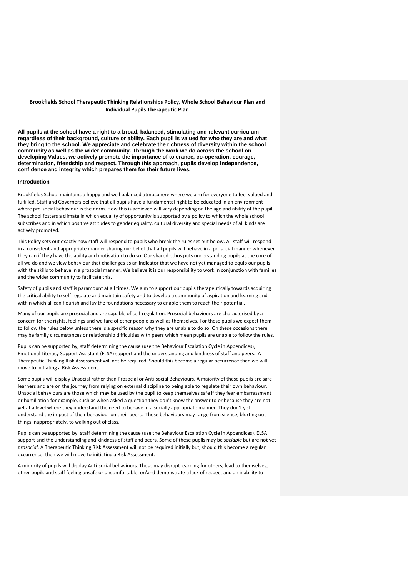#### **Brookfields School Therapeutic Thinking Relationships Policy, Whole School Behaviour Plan and Individual Pupils Therapeutic Plan**

**All pupils at the school have a right to a broad, balanced, stimulating and relevant curriculum regardless of their background, culture or ability. Each pupil is valued for who they are and what they bring to the school. We appreciate and celebrate the richness of diversity within the school community as well as the wider community. Through the work we do across the school on developing Values, we actively promote the importance of tolerance, co-operation, courage, determination, friendship and respect. Through this approach, pupils develop independence, confidence and integrity which prepares them for their future lives.** 

#### **Introduction**

Brookfields School maintains a happy and well balanced atmosphere where we aim for everyone to feel valued and fulfilled. Staff and Governors believe that all pupils have a fundamental right to be educated in an environment where pro-social behaviour is the norm. How this is achieved will vary depending on the age and ability of the pupil. The school fosters a climate in which equality of opportunity is supported by a policy to which the whole school subscribes and in which positive attitudes to gender equality, cultural diversity and special needs of all kinds are actively promoted.

This Policy sets out exactly how staff will respond to pupils who break the rules set out below. All staff will respond in a consistent and appropriate manner sharing our belief that all pupils will behave in a prosocial manner whenever they can if they have the ability and motivation to do so. Our shared ethos puts understanding pupils at the core of all we do and we view behaviour that challenges as an indicator that we have not yet managed to equip our pupils with the skills to behave in a prosocial manner. We believe it is our responsibility to work in conjunction with families and the wider community to facilitate this.

Safety of pupils and staff is paramount at all times. We aim to support our pupils therapeutically towards acquiring the critical ability to self-regulate and maintain safety and to develop a community of aspiration and learning and within which all can flourish and lay the foundations necessary to enable them to reach their potential.

Many of our pupils are prosocial and are capable of self-regulation. Prosocial behaviours are characterised by a concern for the rights, feelings and welfare of other people as well as themselves. For these pupils we expect them to follow the rules below unless there is a specific reason why they are unable to do so. On these occasions there may be family circumstances or relationship difficulties with peers which mean pupils are unable to follow the rules.

Pupils can be supported by; staff determining the cause (use the Behaviour Escalation Cycle in Appendices), Emotional Literacy Support Assistant (ELSA) support and the understanding and kindness of staff and peers. A Therapeutic Thinking Risk Assessment will not be required. Should this become a regular occurrence then we will move to initiating a Risk Assessment.

Some pupils will display Unsocial rather than Prosocial or Anti-social Behaviours. A majority of these pupils are safe learners and are on the journey from relying on external discipline to being able to regulate their own behaviour. Unsocial behaviours are those which may be used by the pupil to keep themselves safe if they fear embarrassment or humiliation for example, such as when asked a question they don't know the answer to or because they are not yet at a level where they understand the need to behave in a socially appropriate manner. They don't yet understand the impact of their behaviour on their peers. These behaviours may range from silence, blurting out things inappropriately, to walking out of class.

Pupils can be supported by; staff determining the cause (use the Behaviour Escalation Cycle in Appendices), ELSA support and the understanding and kindness of staff and peers. Some of these pupils may be *sociable* but are not yet *prosocial*. A Therapeutic Thinking Risk Assessment will not be required initially but, should this become a regular occurrence, then we will move to initiating a Risk Assessment.

A minority of pupils will display Anti-social behaviours. These may disrupt learning for others, lead to themselves, other pupils and staff feeling unsafe or uncomfortable, or/and demonstrate a lack of respect and an inability to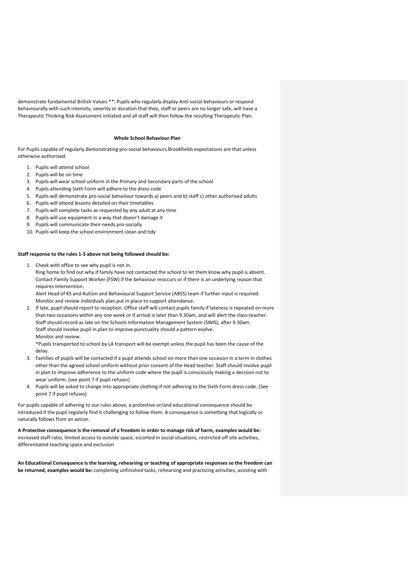demonstrate fundamental British Values \*\*. Pupils who regularly display Anti-social behaviours or respond behaviourally with such intensity, severity or duration that they, staff or peers are no longer safe, will have a Therapeutic Thinking Risk Assessment initiated and all staff will then follow the resulting Therapeutic Plan.

#### **Whole School Behaviour Plan**

For Pupils capable of regularly demonstrating pro-social behaviours Brookfields expectations are that unless otherwise authorised:

- 1. Pupils will attend school
- 2. Pupils will be on time
- 3. Pupils will wear school uniform in the Primary and Secondary parts of the school
- 4. Pupils attending Sixth Form will adhere to the dress code
- 5. Pupils will demonstrate pro-social behaviour towards a) peers and b) staff c) other authorised adults
- 6. Pupils will attend lessons detailed on their timetables
- 7. Pupils will complete tasks as requested by any adult at any time
- 8. Pupils will use equipment in a way that doesn't damage it
- 9. Pupils will communicate their needs pro-socially
- 10. Pupils will keep the school environment clean and tidy

#### **Staff response to the rules 1-5 above not being followed should be:**

1. Check with office to see why pupil is not in.

Ring home to find out why if family have not contacted the school to let them know why pupil is absent. Contact Family Support Worker (FSW) if the behaviour reoccurs or if there is an underlying reason that requires intervention.

Alert Head of KS and Autism and Behavioural Support Service (ABSS) team if further input is required. Monitor and review individuals plan put in place to support attendance.

2. If late, pupil should report to reception. Office staff will contact pupils family if lateness is repeated on more than two occasions within any one week or if arrival is later than 9.30am, and will alert the class-teacher. Staff should record as late on the Schools Information Management System (SIMS), after 9.30am. Staff should involve pupil in plan to improve punctuality should a pattern evolve. Monitor and review.

\*Pupils transported to school by LA transport will be exempt unless the pupil has been the cause of the delay.

- 3. Families of pupils will be contacted if a pupil attends school on more than one occasion in a term in clothes other than the agreed school uniform without prior consent of the Head teacher. Staff should involve pupil in plan to improve adherence to the uniform code where the pupil is consciously making a decision not to wear uniform. (see point 7 if pupil refuses)
- 4. Pupils will be asked to change into appropriate clothing if not adhering to the Sixth Form dress code. (See point 7 if pupil refuses)

For pupils capable of adhering to our rules above, a protective or/and educational consequence should be introduced if the pupil regularly find it challenging to follow them. A consequence is something that logically or naturally follows from an action.

**A Protective consequence is the removal of a freedom in order to manage risk of harm, examples would be:** increased staff ratio, limited access to outside space, escorted in social situations, restricted off site activities, differentiated teaching space and exclusion

**An Educational Consequence is the learning, rehearsing or teaching of appropriate responses so the freedom can be returned, examples would be:** completing unfinished tasks, rehearsing and practicing activities, assisting with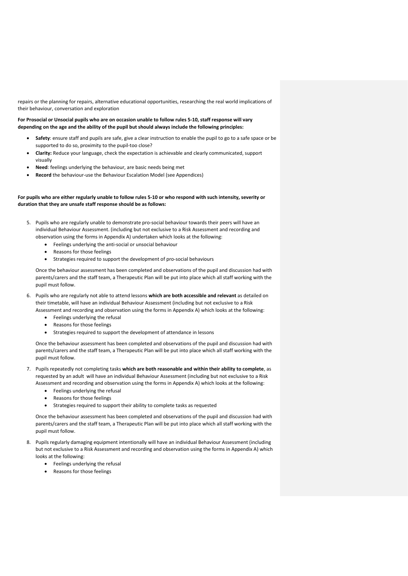repairs or the planning for repairs, alternative educational opportunities, researching the real world implications of their behaviour, conversation and exploration

**For Prosocial or Unsocial pupils who are on occasion unable to follow rules 5-10, staff response will vary depending on the age and the ability of the pupil but should always include the following principles:**

- **Safety**: ensure staff and pupils are safe, give a clear instruction to enable the pupil to go to a safe space or be supported to do so, proximity to the pupil-too close?
- **Clarity:** Reduce your language, check the expectation is achievable and clearly communicated, support visually
- **Need**: feelings underlying the behaviour, are basic needs being met
- **Record** the behaviour-use the Behaviour Escalation Model (see Appendices)

#### **For pupils who are either regularly unable to follow rules 5-10 or who respond with such intensity, severity or duration that they are unsafe staff response should be as follows:**

- 5. Pupils who are regularly unable to demonstrate pro-social behaviour towards their peers will have an individual Behaviour Assessment. (including but not exclusive to a Risk Assessment and recording and observation using the forms in Appendix A) undertaken which looks at the following:
	- Feelings underlying the anti-social or unsocial behaviour
	- Reasons for those feelings
	- Strategies required to support the development of pro-social behaviours

Once the behaviour assessment has been completed and observations of the pupil and discussion had with parents/carers and the staff team, a Therapeutic Plan will be put into place which all staff working with the pupil must follow.

- 6. Pupils who are regularly not able to attend lessons **which are both accessible and relevant** as detailed on their timetable, will have an individual Behaviour Assessment (including but not exclusive to a Risk Assessment and recording and observation using the forms in Appendix A) which looks at the following:
	- Feelings underlying the refusal
	- Reasons for those feelings
	- Strategies required to support the development of attendance in lessons

Once the behaviour assessment has been completed and observations of the pupil and discussion had with parents/carers and the staff team, a Therapeutic Plan will be put into place which all staff working with the pupil must follow.

- 7. Pupils repeatedly not completing tasks **which are both reasonable and within their ability to complete**, as requested by an adult will have an individual Behaviour Assessment (including but not exclusive to a Risk Assessment and recording and observation using the forms in Appendix A) which looks at the following:
	- Feelings underlying the refusal
	- Reasons for those feelings
	- Strategies required to support their ability to complete tasks as requested

Once the behaviour assessment has been completed and observations of the pupil and discussion had with parents/carers and the staff team, a Therapeutic Plan will be put into place which all staff working with the pupil must follow.

- 8. Pupils regularly damaging equipment intentionally will have an individual Behaviour Assessment (including but not exclusive to a Risk Assessment and recording and observation using the forms in Appendix A) which looks at the following:
	- Feelings underlying the refusal
	- Reasons for those feelings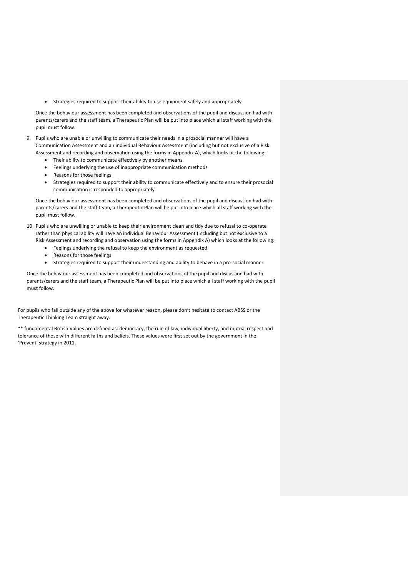• Strategies required to support their ability to use equipment safely and appropriately

Once the behaviour assessment has been completed and observations of the pupil and discussion had with parents/carers and the staff team, a Therapeutic Plan will be put into place which all staff working with the pupil must follow.

- 9. Pupils who are unable or unwilling to communicate their needs in a prosocial manner will have a Communication Assessment and an individual Behaviour Assessment (including but not exclusive of a Risk Assessment and recording and observation using the forms in Appendix A), which looks at the following:
	- Their ability to communicate effectively by another means
	- Feelings underlying the use of inappropriate communication methods
	- Reasons for those feelings
	- Strategies required to support their ability to communicate effectively and to ensure their prosocial communication is responded to appropriately

Once the behaviour assessment has been completed and observations of the pupil and discussion had with parents/carers and the staff team, a Therapeutic Plan will be put into place which all staff working with the pupil must follow.

- 10. Pupils who are unwilling or unable to keep their environment clean and tidy due to refusal to co-operate rather than physical ability will have an individual Behaviour Assessment (including but not exclusive to a Risk Assessment and recording and observation using the forms in Appendix A) which looks at the following:
	- Feelings underlying the refusal to keep the environment as requested
	- Reasons for those feelings
	- Strategies required to support their understanding and ability to behave in a pro-social manner

Once the behaviour assessment has been completed and observations of the pupil and discussion had with parents/carers and the staff team, a Therapeutic Plan will be put into place which all staff working with the pupil must follow.

For pupils who fall outside any of the above for whatever reason, please don't hesitate to contact ABSS or the Therapeutic Thinking Team straight away.

\*\* fundamental British Values are defined as: democracy, the rule of law, individual liberty, and mutual respect and tolerance of those with different faiths and beliefs. These values were first set out by the government in the 'Prevent' strategy in 2011.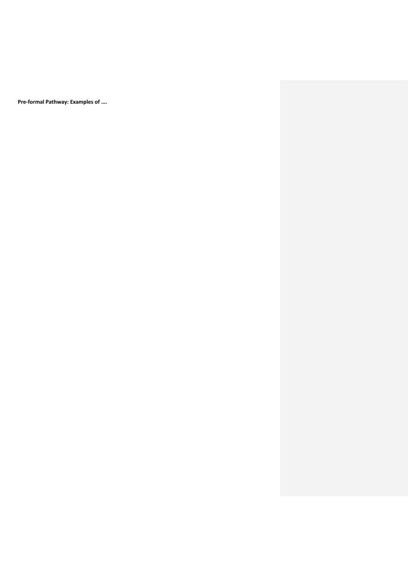**Pre-formal Pathway: Examples of ….**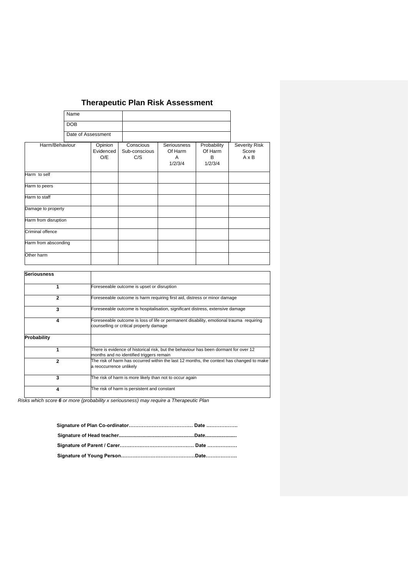## **Therapeutic Plan Risk Assessment**

|                      | Name               |                             |                                   |                                               |                                        |                               |
|----------------------|--------------------|-----------------------------|-----------------------------------|-----------------------------------------------|----------------------------------------|-------------------------------|
|                      | <b>DOB</b>         |                             |                                   |                                               |                                        |                               |
|                      | Date of Assessment |                             |                                   |                                               |                                        |                               |
| Harm/Behaviour       |                    | Opinion<br>Evidenced<br>O/E | Conscious<br>Sub-conscious<br>C/S | <b>Seriousness</b><br>Of Harm<br>A<br>1/2/3/4 | Probability<br>Of Harm<br>в<br>1/2/3/4 | Severity Risk<br>Score<br>AxB |
| Harm to self         |                    |                             |                                   |                                               |                                        |                               |
| Harm to peers        |                    |                             |                                   |                                               |                                        |                               |
| Harm to staff        |                    |                             |                                   |                                               |                                        |                               |
| Damage to property   |                    |                             |                                   |                                               |                                        |                               |
| Harm from disruption |                    |                             |                                   |                                               |                                        |                               |
| Criminal offence     |                    |                             |                                   |                                               |                                        |                               |
| Harm from absconding |                    |                             |                                   |                                               |                                        |                               |
| Other harm           |                    |                             |                                   |                                               |                                        |                               |
|                      |                    |                             |                                   |                                               |                                        |                               |

| Seriousness        |                                                                                                                                    |
|--------------------|------------------------------------------------------------------------------------------------------------------------------------|
|                    | Foreseeable outcome is upset or disruption                                                                                         |
| 2                  | Foreseeable outcome is harm requiring first aid, distress or minor damage                                                          |
| 3                  | Foreseeable outcome is hospitalisation, significant distress, extensive damage                                                     |
|                    | Foreseeable outcome is loss of life or permanent disability, emotional trauma requiring<br>counselling or critical property damage |
| <b>Probability</b> |                                                                                                                                    |
|                    | There is evidence of historical risk, but the behaviour has been dormant for over 12<br>months and no identified triggers remain   |
| $\mathbf{2}$       | The risk of harm has occurred within the last 12 months, the context has changed to make<br>a reoccurrence unlikely                |
| 3                  | The risk of harm is more likely than not to occur again                                                                            |
|                    | The risk of harm is persistent and constant                                                                                        |

*Risks which score 6 or more (probability x seriousness) may require a Therapeutic Plan*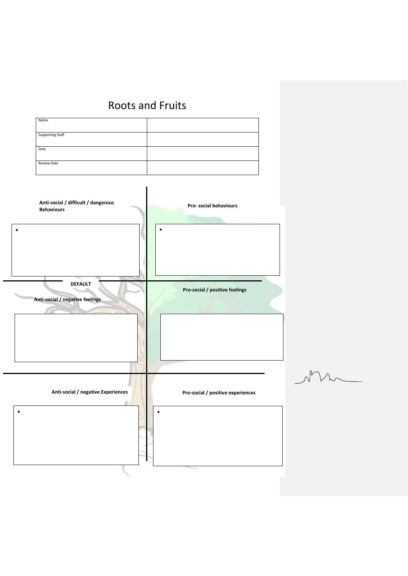## Roots and Fruits

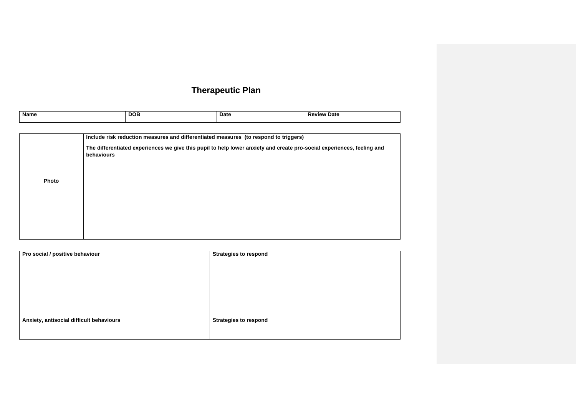## **Therapeutic Plan**

| <b>Name</b> | <b>DOB</b> | <b>Date</b> | <b>Review Date</b> |
|-------------|------------|-------------|--------------------|
|             |            |             |                    |

|       | Include risk reduction measures and differentiated measures (to respond to triggers)                                                 |
|-------|--------------------------------------------------------------------------------------------------------------------------------------|
|       | The differentiated experiences we give this pupil to help lower anxiety and create pro-social experiences, feeling and<br>behaviours |
| Photo |                                                                                                                                      |
|       |                                                                                                                                      |
|       |                                                                                                                                      |
|       |                                                                                                                                      |

| Pro social / positive behaviour          | <b>Strategies to respond</b> |
|------------------------------------------|------------------------------|
|                                          |                              |
|                                          |                              |
|                                          |                              |
|                                          |                              |
|                                          |                              |
|                                          |                              |
|                                          |                              |
| Anxiety, antisocial difficult behaviours | <b>Strategies to respond</b> |
|                                          |                              |
|                                          |                              |